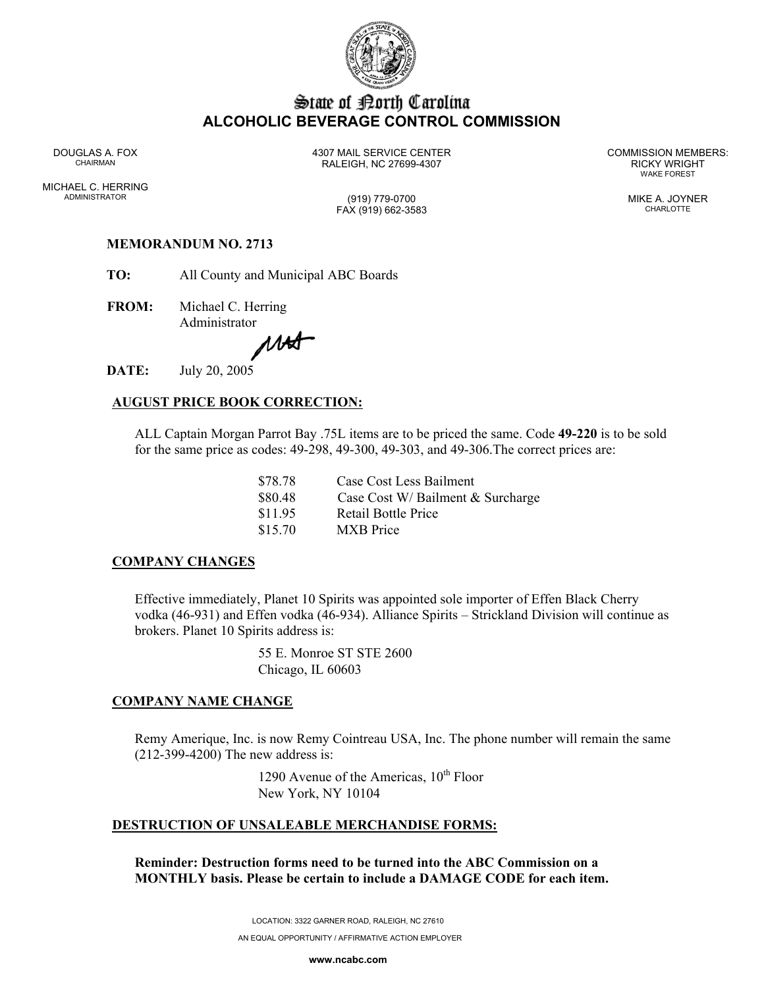

# State of Borth Carolina **ALCOHOLIC BEVERAGE CONTROL COMMISSION**

MICHAEL C. HERRING ADMINISTRATOR (919) 779-0700 MIKE A. JOYNER

DOUGLAS A. FOX 4307 MAIL SERVICE CENTER COMMISSION MEMBERS: CHAIRMAN RALEIGH, NC 27699-4307 RICKY WRIGHT

WAKE FOREST

FAX (919) 662-3583 CHARLOTTE

### **MEMORANDUM NO. 2713**

**TO:** All County and Municipal ABC Boards

**FROM:** Michael C. Herring

Administrator<br>MA

DATE: **DATE:** July 20, 2005

## **AUGUST PRICE BOOK CORRECTION:**

ALL Captain Morgan Parrot Bay .75L items are to be priced the same. Code **49-220** is to be sold for the same price as codes: 49-298, 49-300, 49-303, and 49-306.The correct prices are:

> \$78.78 Case Cost Less Bailment \$80.48 Case Cost W/ Bailment & Surcharge \$11.95 Retail Bottle Price \$15.70 MXB Price

### **COMPANY CHANGES**

Effective immediately, Planet 10 Spirits was appointed sole importer of Effen Black Cherry vodka (46-931) and Effen vodka (46-934). Alliance Spirits – Strickland Division will continue as brokers. Planet 10 Spirits address is:

> 55 E. Monroe ST STE 2600 Chicago, IL 60603

### **COMPANY NAME CHANGE**

Remy Amerique, Inc. is now Remy Cointreau USA, Inc. The phone number will remain the same (212-399-4200) The new address is:

> 1290 Avenue of the Americas,  $10^{th}$  Floor New York, NY 10104

### **DESTRUCTION OF UNSALEABLE MERCHANDISE FORMS:**

**Reminder: Destruction forms need to be turned into the ABC Commission on a MONTHLY basis. Please be certain to include a DAMAGE CODE for each item.** 

LOCATION: 3322 GARNER ROAD, RALEIGH, NC 27610

AN EQUAL OPPORTUNITY / AFFIRMATIVE ACTION EMPLOYER